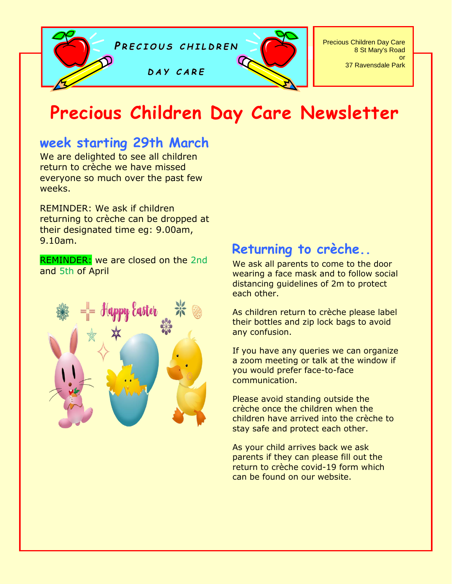

# **Precious Children Day Care Newsletter**

# **week starting 29th March**

We are delighted to see all children return to crèche we have missed everyone so much over the past few weeks.

REMINDER: We ask if children returning to crèche can be dropped at their designated time eg: 9.00am, 9.10am.

REMINDER: we are closed on the 2nd and 5th of April



# **Returning to crèche..**

We ask all parents to come to the door wearing a face mask and to follow social distancing guidelines of 2m to protect each other.

As children return to crèche please label their bottles and zip lock bags to avoid any confusion.

If you have any queries we can organize a zoom meeting or talk at the window if you would prefer face-to-face communication.

Please avoid standing outside the crèche once the children when the children have arrived into the crèche to stay safe and protect each other.

As your child arrives back we ask parents if they can please fill out the return to crèche covid-19 form which can be found on our website.